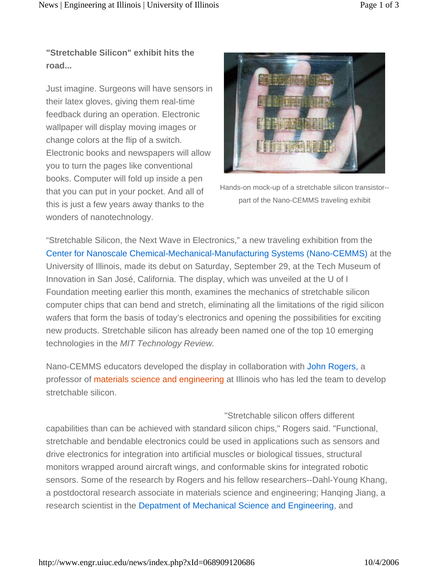**"Stretchable Silicon" exhibit hits the road...**

Just imagine. Surgeons will have sensors in their latex gloves, giving them real-time feedback during an operation. Electronic wallpaper will display moving images or change colors at the flip of a switch. Electronic books and newspapers will allow you to turn the pages like conventional books. Computer will fold up inside a pen that you can put in your pocket. And all of this is just a few years away thanks to the wonders of nanotechnology.



Hands-on mock-up of a stretchable silicon transistor- part of the Nano-CEMMS traveling exhibit

"Stretchable Silicon, the Next Wave in Electronics," a new traveling exhibition from the Center for Nanoscale Chemical-Mechanical-Manufacturing Systems (Nano-CEMMS) at the University of Illinois, made its debut on Saturday, September 29, at the Tech Museum of Innovation in San José, California. The display, which was unveiled at the U of I Foundation meeting earlier this month, examines the mechanics of stretchable silicon computer chips that can bend and stretch, eliminating all the limitations of the rigid silicon wafers that form the basis of today's electronics and opening the possibilities for exciting new products. Stretchable silicon has already been named one of the top 10 emerging technologies in the *MIT Technology Review.*

Nano-CEMMS educators developed the display in collaboration with John Rogers, a professor of materials science and engineering at Illinois who has led the team to develop stretchable silicon.

"Stretchable silicon offers different capabilities than can be achieved with standard silicon chips," Rogers said. "Functional, stretchable and bendable electronics could be used in applications such as sensors and drive electronics for integration into artificial muscles or biological tissues, structural monitors wrapped around aircraft wings, and conformable skins for integrated robotic sensors. Some of the research by Rogers and his fellow researchers--Dahl-Young Khang, a postdoctoral research associate in materials science and engineering; Hanqing Jiang, a research scientist in the Depatment of Mechanical Science and Engineering, and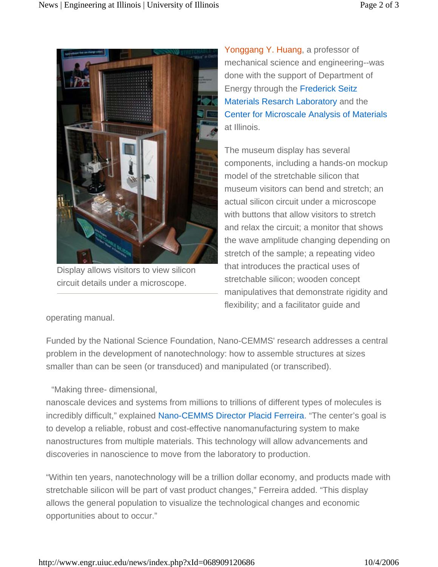

Display allows visitors to view silicon circuit details under a microscope.

Yonggang Y. Huang, a professor of mechanical science and engineering--was done with the support of Department of Energy through the Frederick Seitz Materials Resarch Laboratory and the Center for Microscale Analysis of Materials at Illinois.

The museum display has several components, including a hands-on mockup model of the stretchable silicon that museum visitors can bend and stretch; an actual silicon circuit under a microscope with buttons that allow visitors to stretch and relax the circuit; a monitor that shows the wave amplitude changing depending on stretch of the sample; a repeating video that introduces the practical uses of stretchable silicon; wooden concept manipulatives that demonstrate rigidity and flexibility; and a facilitator guide and

operating manual.

Funded by the National Science Foundation, Nano-CEMMS' research addresses a central problem in the development of nanotechnology: how to assemble structures at sizes smaller than can be seen (or transduced) and manipulated (or transcribed).

"Making three- dimensional,

nanoscale devices and systems from millions to trillions of different types of molecules is incredibly difficult," explained Nano-CEMMS Director Placid Ferreira. "The center's goal is to develop a reliable, robust and cost-effective nanomanufacturing system to make nanostructures from multiple materials. This technology will allow advancements and discoveries in nanoscience to move from the laboratory to production.

"Within ten years, nanotechnology will be a trillion dollar economy, and products made with stretchable silicon will be part of vast product changes," Ferreira added. "This display allows the general population to visualize the technological changes and economic opportunities about to occur."